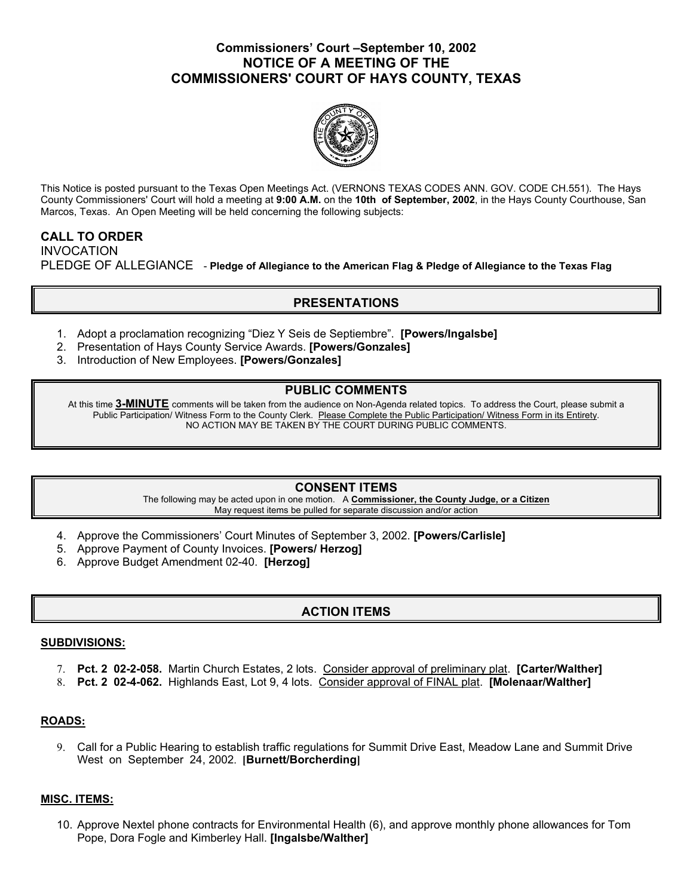## **Commissioners' Court –September 10, 2002 NOTICE OF A MEETING OF THE COMMISSIONERS' COURT OF HAYS COUNTY, TEXAS**



This Notice is posted pursuant to the Texas Open Meetings Act. (VERNONS TEXAS CODES ANN. GOV. CODE CH.551). The Hays County Commissioners' Court will hold a meeting at **9:00 A.M.** on the **10th of September, 2002**, in the Hays County Courthouse, San Marcos, Texas. An Open Meeting will be held concerning the following subjects:

## **CALL TO ORDER**  INVOCATION PLEDGE OF ALLEGIANCE - **Pledge of Allegiance to the American Flag & Pledge of Allegiance to the Texas Flag**

# **PRESENTATIONS**

- 1. Adopt a proclamation recognizing "Diez Y Seis de Septiembre". **[Powers/Ingalsbe]**
- 2. Presentation of Hays County Service Awards. **[Powers/Gonzales]**
- 3. Introduction of New Employees. **[Powers/Gonzales]**

### **PUBLIC COMMENTS**

At this time **3-MINUTE** comments will be taken from the audience on Non-Agenda related topics. To address the Court, please submit a Public Participation/ Witness Form to the County Clerk. Please Complete the Public Participation/ Witness Form in its Entirety. NO ACTION MAY BE TAKEN BY THE COURT DURING PUBLIC COMMENTS.

### **CONSENT ITEMS**

The following may be acted upon in one motion. A **Commissioner, the County Judge, or a Citizen** May request items be pulled for separate discussion and/or action

- 4. Approve the Commissioners' Court Minutes of September 3, 2002. **[Powers/Carlisle]**
- 5. Approve Payment of County Invoices. **[Powers/ Herzog]**
- 6. Approve Budget Amendment 02-40. **[Herzog]**

# **ACTION ITEMS**

#### **SUBDIVISIONS:**

- 7. **Pct. 2 02-2-058.** Martin Church Estates, 2 lots. Consider approval of preliminary plat. **[Carter/Walther]**
- 8. **Pct. 2 02-4-062.** Highlands East, Lot 9, 4 lots. Consider approval of FINAL plat. **[Molenaar/Walther]**

#### **ROADS:**

9. Call for a Public Hearing to establish traffic regulations for Summit Drive East, Meadow Lane and Summit Drive West on September 24, 2002. **[Burnett/Borcherding]** 

### **MISC. ITEMS:**

10. Approve Nextel phone contracts for Environmental Health (6), and approve monthly phone allowances for Tom Pope, Dora Fogle and Kimberley Hall. **[Ingalsbe/Walther]**